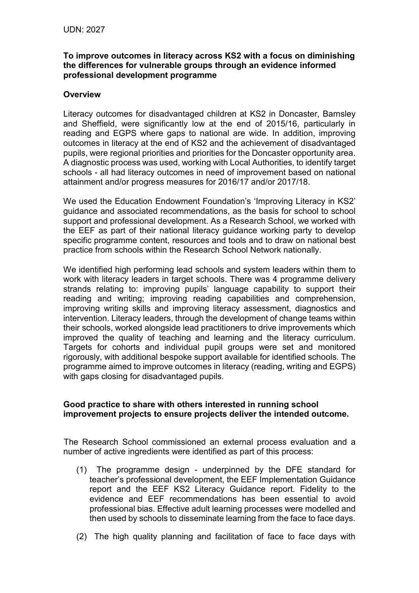## **To improve outcomes in literacy across KS2 with a focus on diminishing the differences for vulnerable groups through an evidence informed professional development programme**

## **Overview**

Literacy outcomes for disadvantaged children at KS2 in Doncaster, Barnsley and Sheffield, were significantly low at the end of 2015/16, particularly in reading and EGPS where gaps to national are wide. In addition, improving outcomes in literacy at the end of KS2 and the achievement of disadvantaged pupils, were regional priorities and priorities for the Doncaster opportunity area. A diagnostic process was used, working with Local Authorities, to identify target schools - all had literacy outcomes in need of improvement based on national attainment and/or progress measures for 2016/17 and/or 2017/18.

We used the Education Endowment Foundation's 'Improving Literacy in KS2' guidance and associated recommendations, as the basis for school to school support and professional development. As a Research School, we worked with the EEF as part of their national literacy guidance working party to develop specific programme content, resources and tools and to draw on national best practice from schools within the Research School Network nationally.

We identified high performing lead schools and system leaders within them to work with literacy leaders in target schools. There was 4 programme delivery strands relating to: improving pupils' language capability to support their reading and writing; improving reading capabilities and comprehension, improving writing skills and improving literacy assessment, diagnostics and intervention. Literacy leaders, through the development of change teams within their schools, worked alongside lead practitioners to drive improvements which improved the quality of teaching and learning and the literacy curriculum. Targets for cohorts and individual pupil groups were set and monitored rigorously, with additional bespoke support available for identified schools. The programme aimed to improve outcomes in literacy (reading, writing and EGPS) with gaps closing for disadvantaged pupils.

## **Good practice to share with others interested in running school improvement projects to ensure projects deliver the intended outcome.**

The Research School commissioned an external process evaluation and a number of active ingredients were identified as part of this process:

- (1) The programme design underpinned by the DFE standard for teacher's professional development, the EEF Implementation Guidance report and the EEF KS2 Literacy Guidance report. Fidelity to the evidence and EEF recommendations has been essential to avoid professional bias. Effective adult learning processes were modelled and then used by schools to disseminate learning from the face to face days.
- (2) The high quality planning and facilitation of face to face days with